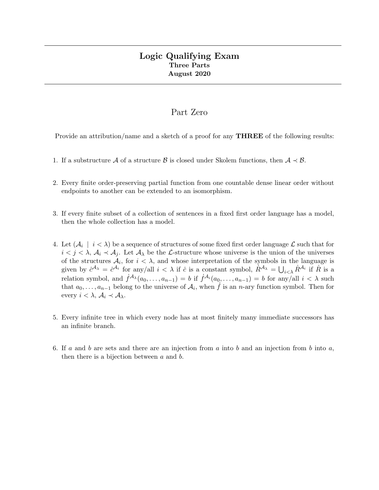# Logic Qualifying Exam Three Parts August 2020

# Part Zero

Provide an attribution/name and a sketch of a proof for any **THREE** of the following results:

- 1. If a substructure A of a structure B is closed under Skolem functions, then  $A \prec B$ .
- 2. Every finite order-preserving partial function from one countable dense linear order without endpoints to another can be extended to an isomorphism.
- 3. If every finite subset of a collection of sentences in a fixed first order language has a model, then the whole collection has a model.
- 4. Let  $(\mathcal{A}_i \mid i < \lambda)$  be a sequence of structures of some fixed first order language  $\mathcal{L}$  such that for  $i < j < \lambda$ ,  $\mathcal{A}_i \prec \mathcal{A}_j$ . Let  $\mathcal{A}_\lambda$  be the L-structure whose universe is the union of the universes of the structures  $A_i$ , for  $i < \lambda$ , and whose interpretation of the symbols in the language is given by  $\dot{c}^{A_{\lambda}} = \dot{c}^{A_i}$  for any/all  $i < \lambda$  if  $\dot{c}$  is a constant symbol,  $\dot{R}^{A_{\lambda}} = \bigcup_{i < \lambda} \dot{R}^{A_i}$  if  $\dot{R}$  is a relation symbol, and  $\dot{f}^{\mathcal{A}_{\lambda}}(a_0,\ldots,a_{n-1})=b$  if  $\dot{f}^{\mathcal{A}_{i}}(a_0,\ldots,a_{n-1})=b$  for any/all  $i<\lambda$  such that  $a_0, \ldots, a_{n-1}$  belong to the universe of  $\mathcal{A}_i$ , when  $\dot{f}$  is an n-ary function symbol. Then for every  $i < \lambda$ ,  $\mathcal{A}_i \prec \mathcal{A}_\lambda$ .
- 5. Every infinite tree in which every node has at most finitely many immediate successors has an infinite branch.
- 6. If a and b are sets and there are an injection from a into b and an injection from b into  $a$ , then there is a bijection between  $a$  and  $b$ .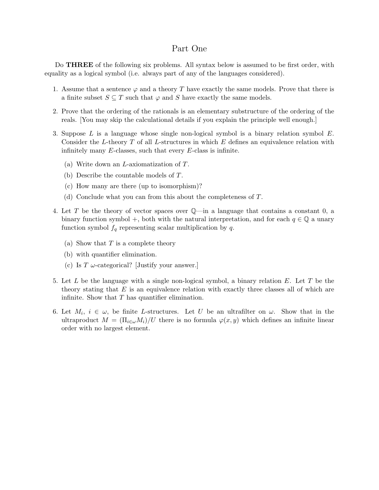## Part One

Do **THREE** of the following six problems. All syntax below is assumed to be first order, with equality as a logical symbol (i.e. always part of any of the languages considered).

- 1. Assume that a sentence  $\varphi$  and a theory T have exactly the same models. Prove that there is a finite subset  $S \subseteq T$  such that  $\varphi$  and S have exactly the same models.
- 2. Prove that the ordering of the rationals is an elementary substructure of the ordering of the reals. [You may skip the calculational details if you explain the principle well enough.]
- 3. Suppose L is a language whose single non-logical symbol is a binary relation symbol E. Consider the L-theory  $T$  of all L-structures in which  $E$  defines an equivalence relation with infinitely many  $E$ -classes, such that every  $E$ -class is infinite.
	- (a) Write down an L-axiomatization of T.
	- (b) Describe the countable models of T.
	- (c) How many are there (up to isomorphism)?
	- (d) Conclude what you can from this about the completeness of T.
- 4. Let T be the theory of vector spaces over Q—in a language that contains a constant 0, a binary function symbol +, both with the natural interpretation, and for each  $q \in \mathbb{Q}$  a unary function symbol  $f_q$  representing scalar multiplication by q.
	- (a) Show that  $T$  is a complete theory
	- (b) with quantifier elimination.
	- (c) Is  $T \omega$ -categorical? [Justify your answer.]
- 5. Let L be the language with a single non-logical symbol, a binary relation E. Let T be the theory stating that  $E$  is an equivalence relation with exactly three classes all of which are infinite. Show that  $T$  has quantifier elimination.
- 6. Let  $M_i$ ,  $i \in \omega$ , be finite L-structures. Let U be an ultrafilter on  $\omega$ . Show that in the ultraproduct  $M = (\Pi_{i \in \omega} M_i)/U$  there is no formula  $\varphi(x, y)$  which defines an infinite linear order with no largest element.